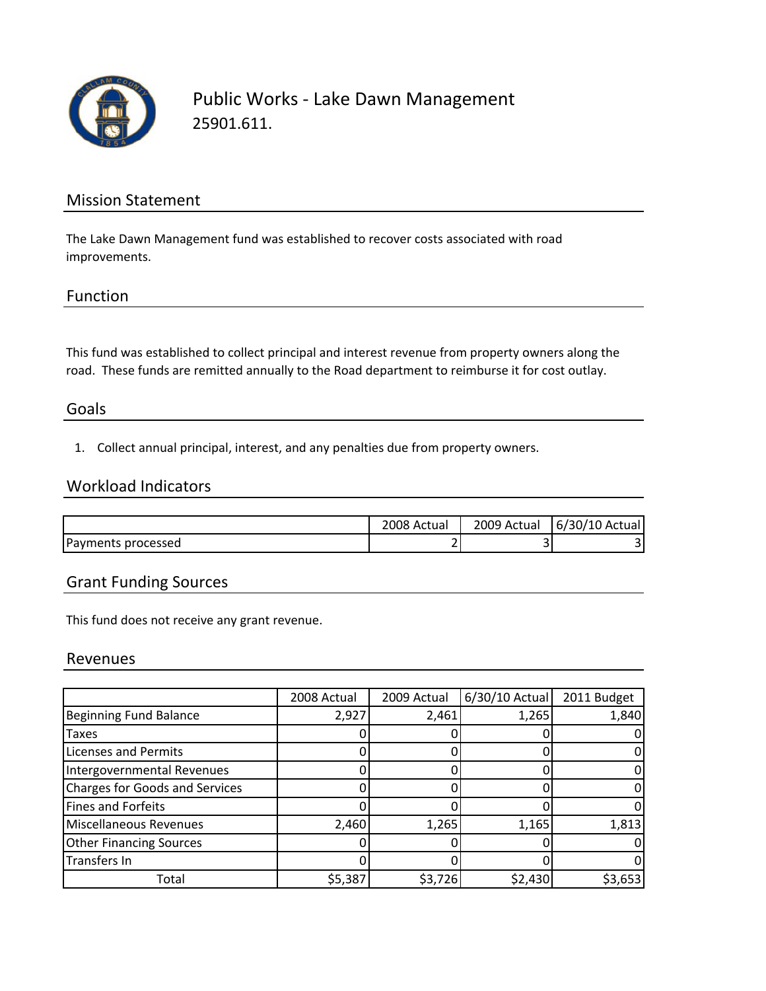

## Public Works ‐ Lake Dawn Management 25901.611.

### Mission Statement

The Lake Dawn Management fund was established to recover costs associated with road improvements.

#### Function

This fund was established to collect principal and interest revenue from property owners along the road. These funds are remitted annually to the Road department to reimburse it for cost outlay.

#### Goals

1. Collect annual principal, interest, and any penalties due from property owners.

## Workload Indicators

|                    | 2008 Actual | 2009<br>Actual | 6/30/10 Actual |
|--------------------|-------------|----------------|----------------|
| Payments processed |             |                |                |

## Grant Funding Sources

This fund does not receive any grant revenue.

#### Revenues

|                                       | 2008 Actual | 2009 Actual | 6/30/10 Actual | 2011 Budget |
|---------------------------------------|-------------|-------------|----------------|-------------|
| <b>Beginning Fund Balance</b>         | 2,927       | 2,461       | 1,265          | 1,840       |
| <b>Taxes</b>                          |             |             |                |             |
| <b>Licenses and Permits</b>           |             |             |                |             |
| Intergovernmental Revenues            |             |             |                |             |
| <b>Charges for Goods and Services</b> |             |             |                |             |
| <b>Fines and Forfeits</b>             |             |             |                |             |
| <b>Miscellaneous Revenues</b>         | 2,460       | 1,265       | 1,165          | 1,813       |
| <b>Other Financing Sources</b>        |             |             |                |             |
| <b>Transfers In</b>                   |             |             |                |             |
| Total                                 | \$5,387     | \$3,726     | \$2,430        | \$3,653     |